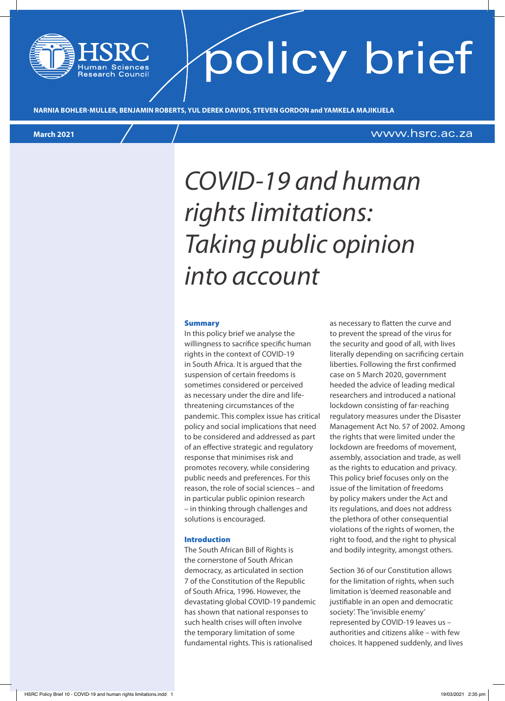# policy brief

**NARNIA BOHLER-MULLER, BENJAMIN ROBERTS, YUL DEREK DAVIDS, STEVEN GORDON and YAMKELA MAJIKIJELA**

### **March 2021** www.hsrc.ac.za

### *COVID-19 and human rights limitations: Taking public opinion into account*

#### Summary

In this policy brief we analyse the willingness to sacrifice specific human rights in the context of COVID-19 in South Africa. It is argued that the suspension of certain freedoms is sometimes considered or perceived as necessary under the dire and lifethreatening circumstances of the pandemic. This complex issue has critical policy and social implications that need to be considered and addressed as part of an effective strategic and regulatory response that minimises risk and promotes recovery, while considering public needs and preferences. For this reason, the role of social sciences – and in particular public opinion research – in thinking through challenges and solutions is encouraged.

#### Introduction

The South African Bill of Rights is the cornerstone of South African democracy, as articulated in section 7 of the Constitution of the Republic of South Africa, 1996. However, the devastating global COVID-19 pandemic has shown that national responses to such health crises will often involve the temporary limitation of some fundamental rights. This is rationalised

as necessary to flatten the curve and to prevent the spread of the virus for the security and good of all, with lives literally depending on sacrificing certain liberties. Following the first confirmed case on 5 March 2020, government heeded the advice of leading medical researchers and introduced a national lockdown consisting of far-reaching regulatory measures under the Disaster Management Act No. 57 of 2002. Among the rights that were limited under the lockdown are freedoms of movement, assembly, association and trade, as well as the rights to education and privacy. This policy brief focuses only on the issue of the limitation of freedoms by policy makers under the Act and its regulations, and does not address the plethora of other consequential violations of the rights of women, the right to food, and the right to physical and bodily integrity, amongst others.

Section 36 of our Constitution allows for the limitation of rights, when such limitation is 'deemed reasonable and justifiable in an open and democratic society'. The 'invisible enemy' represented by COVID-19 leaves us – authorities and citizens alike – with few choices. It happened suddenly, and lives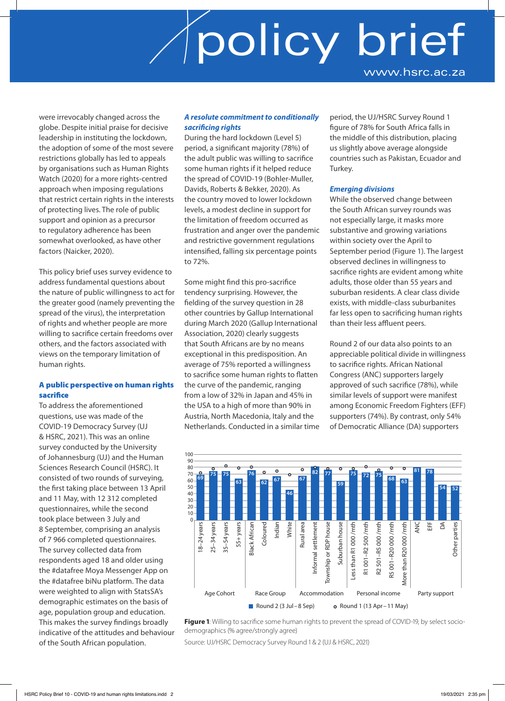were irrevocably changed across the globe. Despite initial praise for decisive leadership in instituting the lockdown, the adoption of some of the most severe restrictions globally has led to appeals by organisations such as Human Rights Watch (2020) for a more rights-centred approach when imposing regulations that restrict certain rights in the interests of protecting lives. The role of public support and opinion as a precursor to regulatory adherence has been somewhat overlooked, as have other factors (Naicker, 2020).

This policy brief uses survey evidence to address fundamental questions about the nature of public willingness to act for the greater good (namely preventing the spread of the virus), the interpretation of rights and whether people are more willing to sacrifice certain freedoms over others, and the factors associated with views on the temporary limitation of human rights.

### A public perspective on human rights sacrifice

To address the aforementioned questions, use was made of the COVID-19 Democracy Survey (UJ & HSRC, 2021). This was an online survey conducted by the University of Johannesburg (UJ) and the Human Sciences Research Council (HSRC). It consisted of two rounds of surveying, the first taking place between 13 April and 11 May, with 12 312 completed questionnaires, while the second took place between 3 July and 8 September, comprising an analysis of 7 966 completed questionnaires. The survey collected data from respondents aged 18 and older using the #datafree Moya Messenger App on the #datafree biNu platform. The data were weighted to align with StatsSA's demographic estimates on the basis of age, population group and education. This makes the survey findings broadly indicative of the attitudes and behaviour of the South African population.

### *A resolute commitment to conditionally sacrificing rights*

During the hard lockdown (Level 5) period, a significant majority (78%) of the adult public was willing to sacrifice some human rights if it helped reduce the spread of COVID-19 (Bohler-Muller, Davids, Roberts & Bekker, 2020). As the country moved to lower lockdown levels, a modest decline in support for the limitation of freedom occurred as frustration and anger over the pandemic and restrictive government regulations intensified, falling six percentage points to 72%.

Some might find this pro-sacrifice tendency surprising. However, the fielding of the survey question in 28 other countries by Gallup International during March 2020 (Gallup International Association, 2020) clearly suggests that South Africans are by no means exceptional in this predisposition. An average of 75% reported a willingness to sacrifice some human rights to flatten the curve of the pandemic, ranging from a low of 32% in Japan and 45% in the USA to a high of more than 90% in Austria, North Macedonia, Italy and the Netherlands. Conducted in a similar time period, the UJ/HSRC Survey Round 1 figure of 78% for South Africa falls in the middle of this distribution, placing us slightly above average alongside countries such as Pakistan, Ecuador and Turkey.

### *Emerging divisions*

While the observed change between the South African survey rounds was not especially large, it masks more substantive and growing variations within society over the April to September period (Figure 1). The largest observed declines in willingness to sacrifice rights are evident among white adults, those older than 55 years and suburban residents. A clear class divide exists, with middle-class suburbanites far less open to sacrificing human rights than their less affluent peers.

Round 2 of our data also points to an appreciable political divide in willingness to sacrifice rights. African National Congress (ANC) supporters largely approved of such sacrifice (78%), while similar levels of support were manifest among Economic Freedom Fighters (EFF) supporters (74%). By contrast, only 54% of Democratic Alliance (DA) supporters



**Figure 1**: Willing to sacrifice some human rights to prevent the spread of COVID-19, by select sociodemographics (% agree/strongly agree)

Source: UJ/HSRC Democracy Survey Round 1 & 2 (UJ & HSRC, 2021)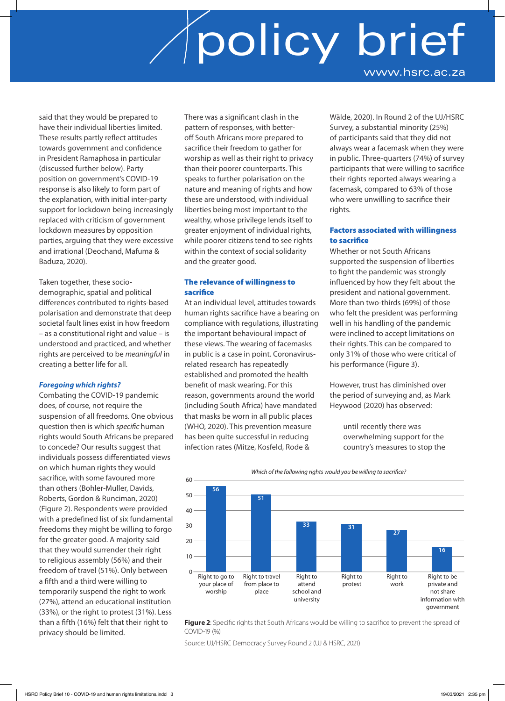said that they would be prepared to have their individual liberties limited. These results partly reflect attitudes towards government and confidence in President Ramaphosa in particular (discussed further below). Party position on government's COVID-19 response is also likely to form part of the explanation, with initial inter-party support for lockdown being increasingly replaced with criticism of government lockdown measures by opposition parties, arguing that they were excessive and irrational (Deochand, Mafuma & Baduza, 2020).

Taken together, these sociodemographic, spatial and political differences contributed to rights-based polarisation and demonstrate that deep societal fault lines exist in how freedom – as a constitutional right and value – is understood and practiced, and whether rights are perceived to be *meaningful* in creating a better life for all.

### *Foregoing which rights?*

Combating the COVID-19 pandemic does, of course, not require the suspension of all freedoms. One obvious question then is which *specific* human rights would South Africans be prepared to concede? Our results suggest that individuals possess differentiated views on which human rights they would sacrifice, with some favoured more than others (Bohler-Muller, Davids, Roberts, Gordon & Runciman, 2020) (Figure 2). Respondents were provided with a predefined list of six fundamental freedoms they might be willing to forgo for the greater good. A majority said that they would surrender their right to religious assembly (56%) and their freedom of travel (51%). Only between a fifth and a third were willing to temporarily suspend the right to work (27%), attend an educational institution (33%), or the right to protest (31%). Less than a fifth (16%) felt that their right to privacy should be limited.

There was a significant clash in the pattern of responses, with betteroff South Africans more prepared to sacrifice their freedom to gather for worship as well as their right to privacy than their poorer counterparts. This speaks to further polarisation on the nature and meaning of rights and how these are understood, with individual liberties being most important to the wealthy, whose privilege lends itself to greater enjoyment of individual rights, while poorer citizens tend to see rights within the context of social solidarity and the greater good.

### The relevance of willingness to sacrifice

At an individual level, attitudes towards human rights sacrifice have a bearing on compliance with regulations, illustrating the important behavioural impact of these views. The wearing of facemasks in public is a case in point. Coronavirusrelated research has repeatedly established and promoted the health benefit of mask wearing. For this reason, governments around the world (including South Africa) have mandated that masks be worn in all public places (WHO, 2020). This prevention measure has been quite successful in reducing infection rates (Mitze, Kosfeld, Rode &

Wälde, 2020). In Round 2 of the UJ/HSRC Survey, a substantial minority (25%) of participants said that they did not always wear a facemask when they were in public. Three-quarters (74%) of survey participants that were willing to sacrifice their rights reported always wearing a facemask, compared to 63% of those who were unwilling to sacrifice their rights.

### Factors associated with willingness to sacrifice

Whether or not South Africans supported the suspension of liberties to fight the pandemic was strongly influenced by how they felt about the president and national government. More than two-thirds (69%) of those who felt the president was performing well in his handling of the pandemic were inclined to accept limitations on their rights. This can be compared to only 31% of those who were critical of his performance (Figure 3).

However, trust has diminished over the period of surveying and, as Mark Heywood (2020) has observed:

> until recently there was overwhelming support for the country's measures to stop the







Source: UJ/HSRC Democracy Survey Round 2 (UJ & HSRC, 2021)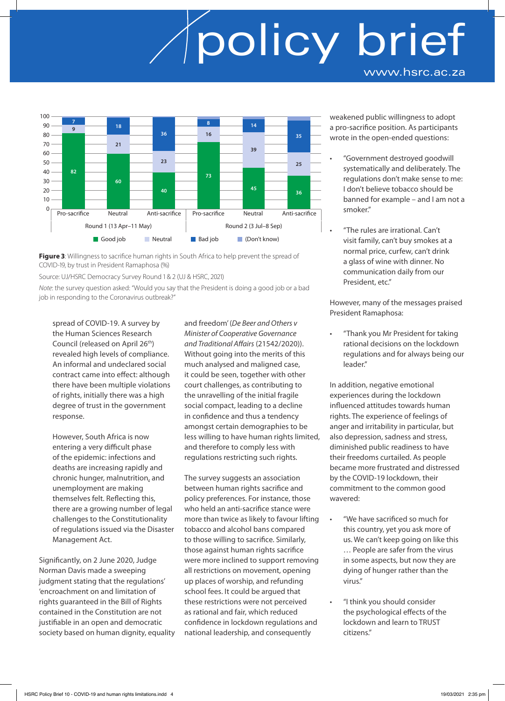

**Figure 3:** Willingness to sacrifice human rights in South Africa to help prevent the spread of COVID-19, by trust in President Ramaphosa (%)

Source: UJ/HSRC Democracy Survey Round 1 & 2 (UJ & HSRC, 2021)

*Note*: the survey question asked: "Would you say that the President is doing a good job or a bad job in responding to the Coronavirus outbreak?"

spread of COVID-19. A survey by the Human Sciences Research Council (released on April 26th) revealed high levels of compliance. An informal and undeclared social contract came into effect: although there have been multiple violations of rights, initially there was a high degree of trust in the government response.

However, South Africa is now entering a very difficult phase of the epidemic: infections and deaths are increasing rapidly and chronic hunger, malnutrition, and unemployment are making themselves felt. Reflecting this, there are a growing number of legal challenges to the Constitutionality of regulations issued via the Disaster Management Act.

Significantly, on 2 June 2020, Judge Norman Davis made a sweeping judgment stating that the regulations' 'encroachment on and limitation of rights guaranteed in the Bill of Rights contained in the Constitution are not justifiable in an open and democratic society based on human dignity, equality and freedom' (*De Beer and Others v Minister of Cooperative Governance and Traditional Affairs* (21542/2020)). Without going into the merits of this much analysed and maligned case, it could be seen, together with other court challenges, as contributing to the unravelling of the initial fragile social compact, leading to a decline in confidence and thus a tendency amongst certain demographies to be less willing to have human rights limited, and therefore to comply less with regulations restricting such rights.

The survey suggests an association between human rights sacrifice and policy preferences. For instance, those who held an anti-sacrifice stance were more than twice as likely to favour lifting tobacco and alcohol bans compared to those willing to sacrifice. Similarly, those against human rights sacrifice were more inclined to support removing all restrictions on movement, opening up places of worship, and refunding school fees. It could be argued that these restrictions were not perceived as rational and fair, which reduced confidence in lockdown regulations and national leadership, and consequently

weakened public willingness to adopt a pro-sacrifice position. As participants wrote in the open-ended questions:

- "Government destroyed goodwill systematically and deliberately. The regulations don't make sense to me: I don't believe tobacco should be banned for example – and I am not a smoker."
- "The rules are irrational. Can't visit family, can't buy smokes at a normal price, curfew, can't drink a glass of wine with dinner. No communication daily from our President, etc."

However, many of the messages praised President Ramaphosa:

• "Thank you Mr President for taking rational decisions on the lockdown regulations and for always being our leader."

In addition, negative emotional experiences during the lockdown influenced attitudes towards human rights. The experience of feelings of anger and irritability in particular, but also depression, sadness and stress, diminished public readiness to have their freedoms curtailed. As people became more frustrated and distressed by the COVID-19 lockdown, their commitment to the common good wavered:

- "We have sacrificed so much for this country, yet you ask more of us. We can't keep going on like this … People are safer from the virus in some aspects, but now they are dying of hunger rather than the virus."
- "I think you should consider the psychological effects of the lockdown and learn to TRUST citizens."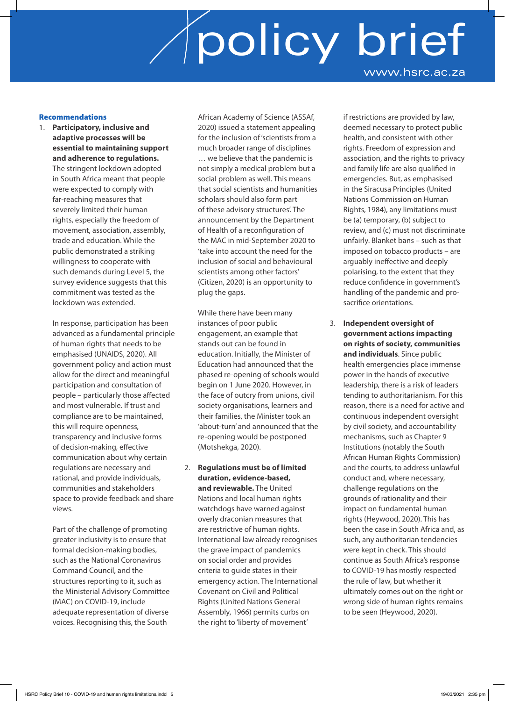### Recommendations

1. **Participatory, inclusive and adaptive processes will be essential to maintaining support and adherence to regulations.** The stringent lockdown adopted in South Africa meant that people were expected to comply with far-reaching measures that severely limited their human rights, especially the freedom of movement, association, assembly, trade and education. While the public demonstrated a striking willingness to cooperate with such demands during Level 5, the survey evidence suggests that this commitment was tested as the lockdown was extended.

> In response, participation has been advanced as a fundamental principle of human rights that needs to be emphasised (UNAIDS, 2020). All government policy and action must allow for the direct and meaningful participation and consultation of people – particularly those affected and most vulnerable. If trust and compliance are to be maintained, this will require openness, transparency and inclusive forms of decision-making, effective communication about why certain regulations are necessary and rational, and provide individuals, communities and stakeholders space to provide feedback and share views.

 Part of the challenge of promoting greater inclusivity is to ensure that formal decision-making bodies, such as the National Coronavirus Command Council, and the structures reporting to it, such as the Ministerial Advisory Committee (MAC) on COVID-19, include adequate representation of diverse voices. Recognising this, the South

African Academy of Science (ASSAf, 2020) issued a statement appealing for the inclusion of 'scientists from a much broader range of disciplines … we believe that the pandemic is not simply a medical problem but a social problem as well. This means that social scientists and humanities scholars should also form part of these advisory structures'. The announcement by the Department of Health of a reconfiguration of the MAC in mid-September 2020 to 'take into account the need for the inclusion of social and behavioural scientists among other factors' (Citizen, 2020) is an opportunity to plug the gaps.

 While there have been many instances of poor public engagement, an example that stands out can be found in education. Initially, the Minister of Education had announced that the phased re-opening of schools would begin on 1 June 2020. However, in the face of outcry from unions, civil society organisations, learners and their families, the Minister took an 'about-turn' and announced that the re-opening would be postponed (Motshekga, 2020).

2. **Regulations must be of limited duration, evidence-based, and reviewable.** The United Nations and local human rights watchdogs have warned against overly draconian measures that are restrictive of human rights. International law already recognises the grave impact of pandemics on social order and provides criteria to guide states in their emergency action. The International Covenant on Civil and Political Rights (United Nations General Assembly, 1966) permits curbs on the right to 'liberty of movement'

if restrictions are provided by law, deemed necessary to protect public health, and consistent with other rights. Freedom of expression and association, and the rights to privacy and family life are also qualified in emergencies. But, as emphasised in the Siracusa Principles (United Nations Commission on Human Rights, 1984), any limitations must be (a) temporary, (b) subject to review, and (c) must not discriminate unfairly. Blanket bans – such as that imposed on tobacco products – are arguably ineffective and deeply polarising, to the extent that they reduce confidence in government's handling of the pandemic and prosacrifice orientations.

3. **Independent oversight of government actions impacting on rights of society, communities and individuals**. Since public health emergencies place immense power in the hands of executive leadership, there is a risk of leaders tending to authoritarianism. For this reason, there is a need for active and continuous independent oversight by civil society, and accountability mechanisms, such as Chapter 9 Institutions (notably the South African Human Rights Commission) and the courts, to address unlawful conduct and, where necessary, challenge regulations on the grounds of rationality and their impact on fundamental human rights (Heywood, 2020). This has been the case in South Africa and, as such, any authoritarian tendencies were kept in check. This should continue as South Africa's response to COVID-19 has mostly respected the rule of law, but whether it ultimately comes out on the right or wrong side of human rights remains to be seen (Heywood, 2020).